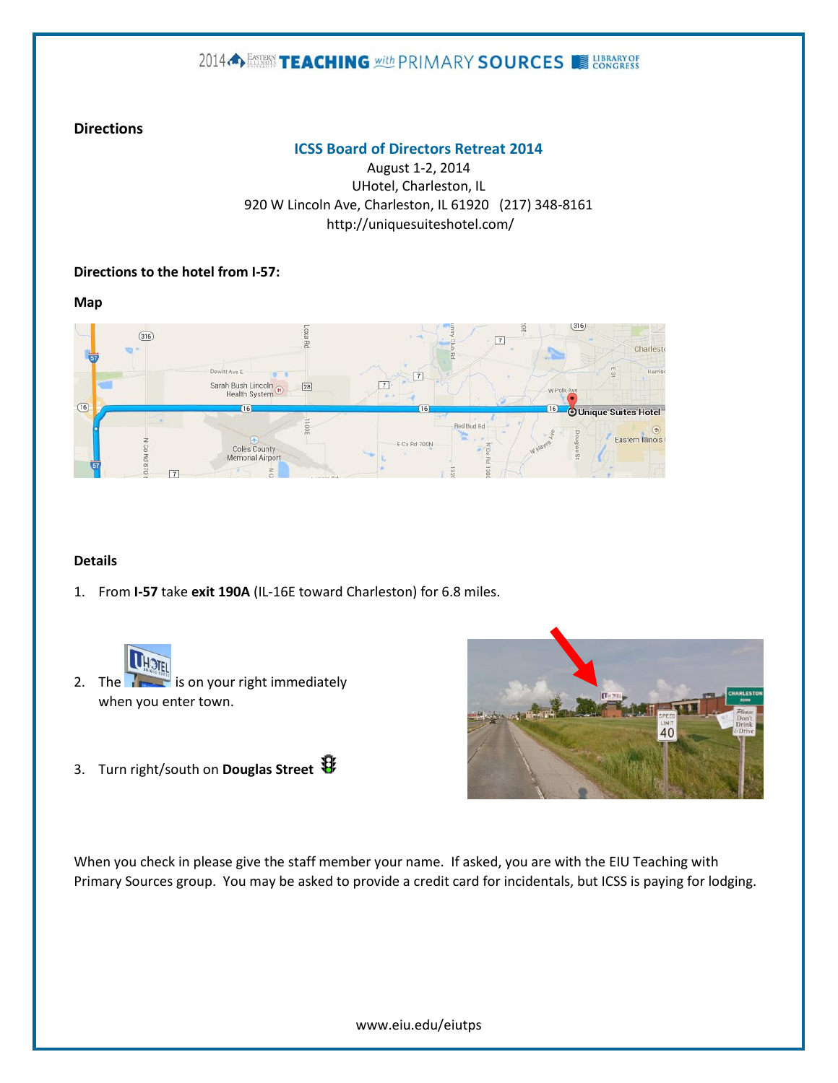# 2014 SETTLE ACHING With PRIMARY SOURCES SHOWSERS

### **Directions**

#### **ICSS Board of Directors Retreat 2014**

August 1-2, 2014 UHotel, Charleston, IL 920 W Lincoln Ave, Charleston, IL 61920 (217) 348-8161 http://uniquesuiteshotel.com/

#### **Directions to the hotel from I-57:**

**Map**



### **Details**

1. From **I-57** take **exit 190A** (IL-16E toward Charleston) for 6.8 miles.



- 2. The  $\sqrt{ }$  is on your right immediately when you enter town.
- 3. Turn right/south on **Douglas Street**



When you check in please give the staff member your name. If asked, you are with the EIU Teaching with Primary Sources group. You may be asked to provide a credit card for incidentals, but ICSS is paying for lodging.